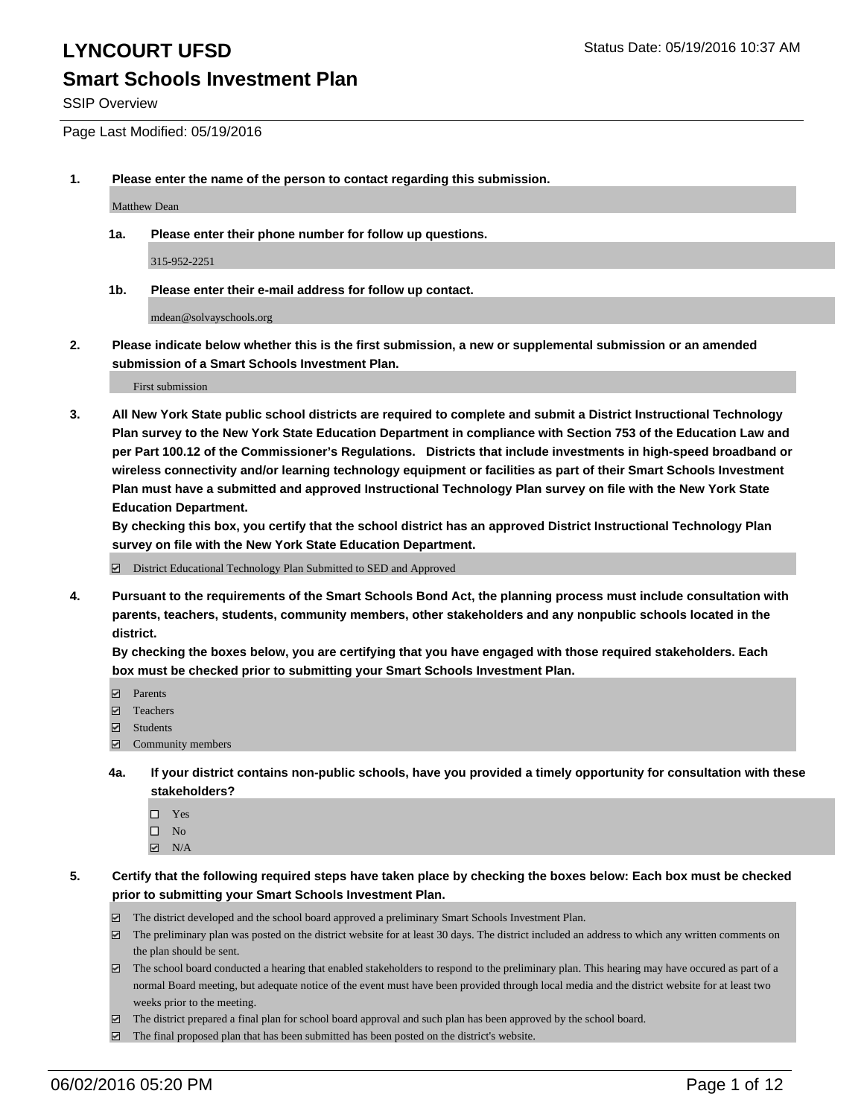## LYNCOURT UFSD<br>
LYNCOURT UFSD

### **Smart Schools Investment Plan**

SSIP Overview

Page Last Modified: 05/19/2016

**1. Please enter the name of the person to contact regarding this submission.**

Matthew Dean

**1a. Please enter their phone number for follow up questions.**

315-952-2251

**1b. Please enter their e-mail address for follow up contact.**

mdean@solvayschools.org

**2. Please indicate below whether this is the first submission, a new or supplemental submission or an amended submission of a Smart Schools Investment Plan.**

First submission

**3. All New York State public school districts are required to complete and submit a District Instructional Technology Plan survey to the New York State Education Department in compliance with Section 753 of the Education Law and per Part 100.12 of the Commissioner's Regulations. Districts that include investments in high-speed broadband or wireless connectivity and/or learning technology equipment or facilities as part of their Smart Schools Investment Plan must have a submitted and approved Instructional Technology Plan survey on file with the New York State Education Department.** 

**By checking this box, you certify that the school district has an approved District Instructional Technology Plan survey on file with the New York State Education Department.**

District Educational Technology Plan Submitted to SED and Approved

**4. Pursuant to the requirements of the Smart Schools Bond Act, the planning process must include consultation with parents, teachers, students, community members, other stakeholders and any nonpublic schools located in the district.** 

**By checking the boxes below, you are certifying that you have engaged with those required stakeholders. Each box must be checked prior to submitting your Smart Schools Investment Plan.**

- **Parents**
- Teachers
- Students
- Community members
- **4a. If your district contains non-public schools, have you provided a timely opportunity for consultation with these stakeholders?**
	- $\Box$  Yes  $\square$  No
	- $\boxtimes$  N/A
- **5. Certify that the following required steps have taken place by checking the boxes below: Each box must be checked prior to submitting your Smart Schools Investment Plan.**
	- The district developed and the school board approved a preliminary Smart Schools Investment Plan.
	- $\Box$  The preliminary plan was posted on the district website for at least 30 days. The district included an address to which any written comments on the plan should be sent.
	- $\Box$  The school board conducted a hearing that enabled stakeholders to respond to the preliminary plan. This hearing may have occured as part of a normal Board meeting, but adequate notice of the event must have been provided through local media and the district website for at least two weeks prior to the meeting.
	- The district prepared a final plan for school board approval and such plan has been approved by the school board.
	- $\boxdot$  The final proposed plan that has been submitted has been posted on the district's website.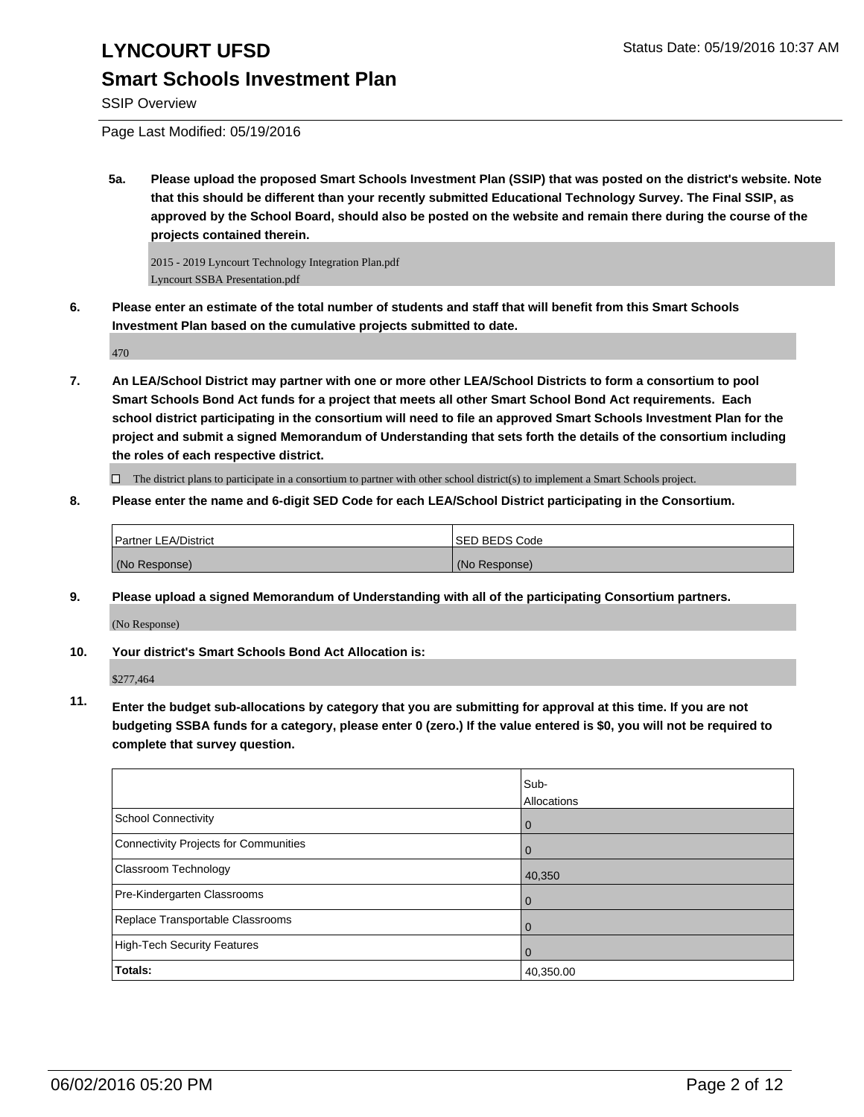#### SSIP Overview

Page Last Modified: 05/19/2016

**5a. Please upload the proposed Smart Schools Investment Plan (SSIP) that was posted on the district's website. Note that this should be different than your recently submitted Educational Technology Survey. The Final SSIP, as approved by the School Board, should also be posted on the website and remain there during the course of the projects contained therein.**

2015 - 2019 Lyncourt Technology Integration Plan.pdf Lyncourt SSBA Presentation.pdf

**6. Please enter an estimate of the total number of students and staff that will benefit from this Smart Schools Investment Plan based on the cumulative projects submitted to date.**

470

**7. An LEA/School District may partner with one or more other LEA/School Districts to form a consortium to pool Smart Schools Bond Act funds for a project that meets all other Smart School Bond Act requirements. Each school district participating in the consortium will need to file an approved Smart Schools Investment Plan for the project and submit a signed Memorandum of Understanding that sets forth the details of the consortium including the roles of each respective district.**

 $\Box$  The district plans to participate in a consortium to partner with other school district(s) to implement a Smart Schools project.

**8. Please enter the name and 6-digit SED Code for each LEA/School District participating in the Consortium.**

| Partner LEA/District | <b>ISED BEDS Code</b> |
|----------------------|-----------------------|
| (No Response)        | (No Response)         |

**9. Please upload a signed Memorandum of Understanding with all of the participating Consortium partners.**

(No Response)

#### **10. Your district's Smart Schools Bond Act Allocation is:**

\$277,464

**11. Enter the budget sub-allocations by category that you are submitting for approval at this time. If you are not budgeting SSBA funds for a category, please enter 0 (zero.) If the value entered is \$0, you will not be required to complete that survey question.**

|                                       | Sub-<br>Allocations |
|---------------------------------------|---------------------|
| School Connectivity                   | U                   |
| Connectivity Projects for Communities |                     |
| Classroom Technology                  | 40,350              |
| Pre-Kindergarten Classrooms           |                     |
| Replace Transportable Classrooms      |                     |
| High-Tech Security Features           | $\Omega$            |
| Totals:                               | 40,350.00           |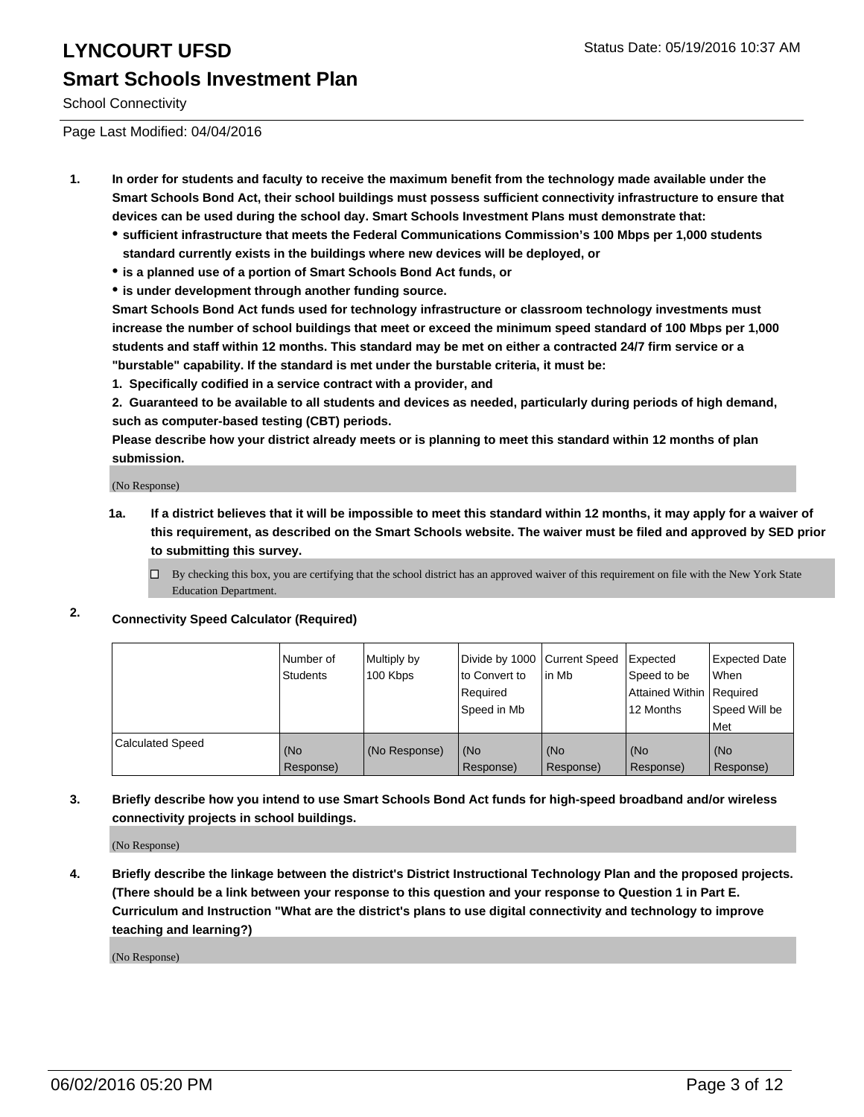School Connectivity

Page Last Modified: 04/04/2016

- **1. In order for students and faculty to receive the maximum benefit from the technology made available under the Smart Schools Bond Act, their school buildings must possess sufficient connectivity infrastructure to ensure that devices can be used during the school day. Smart Schools Investment Plans must demonstrate that:**
	- **sufficient infrastructure that meets the Federal Communications Commission's 100 Mbps per 1,000 students standard currently exists in the buildings where new devices will be deployed, or**
	- **is a planned use of a portion of Smart Schools Bond Act funds, or**
	- **is under development through another funding source.**

**Smart Schools Bond Act funds used for technology infrastructure or classroom technology investments must increase the number of school buildings that meet or exceed the minimum speed standard of 100 Mbps per 1,000 students and staff within 12 months. This standard may be met on either a contracted 24/7 firm service or a "burstable" capability. If the standard is met under the burstable criteria, it must be:**

**1. Specifically codified in a service contract with a provider, and**

**2. Guaranteed to be available to all students and devices as needed, particularly during periods of high demand, such as computer-based testing (CBT) periods.**

**Please describe how your district already meets or is planning to meet this standard within 12 months of plan submission.**

(No Response)

- **1a. If a district believes that it will be impossible to meet this standard within 12 months, it may apply for a waiver of this requirement, as described on the Smart Schools website. The waiver must be filed and approved by SED prior to submitting this survey.**
	- $\Box$  By checking this box, you are certifying that the school district has an approved waiver of this requirement on file with the New York State Education Department.

#### **2. Connectivity Speed Calculator (Required)**

|                         | l Number of<br>Students | Multiply by<br>100 Kbps | Divide by 1000 Current Speed<br>Ito Convert to<br>Required<br>Speed in Mb | l in Mb          | Expected<br>Speed to be<br>Attained Within   Required<br>12 Months | <b>Expected Date</b><br><b>When</b><br>Speed Will be |
|-------------------------|-------------------------|-------------------------|---------------------------------------------------------------------------|------------------|--------------------------------------------------------------------|------------------------------------------------------|
|                         |                         |                         |                                                                           |                  |                                                                    | l Met                                                |
| <b>Calculated Speed</b> | (No<br>Response)        | (No Response)           | (No<br>Response)                                                          | (No<br>Response) | (No<br>Response)                                                   | (No<br>Response)                                     |

**3. Briefly describe how you intend to use Smart Schools Bond Act funds for high-speed broadband and/or wireless connectivity projects in school buildings.**

(No Response)

**4. Briefly describe the linkage between the district's District Instructional Technology Plan and the proposed projects. (There should be a link between your response to this question and your response to Question 1 in Part E. Curriculum and Instruction "What are the district's plans to use digital connectivity and technology to improve teaching and learning?)**

(No Response)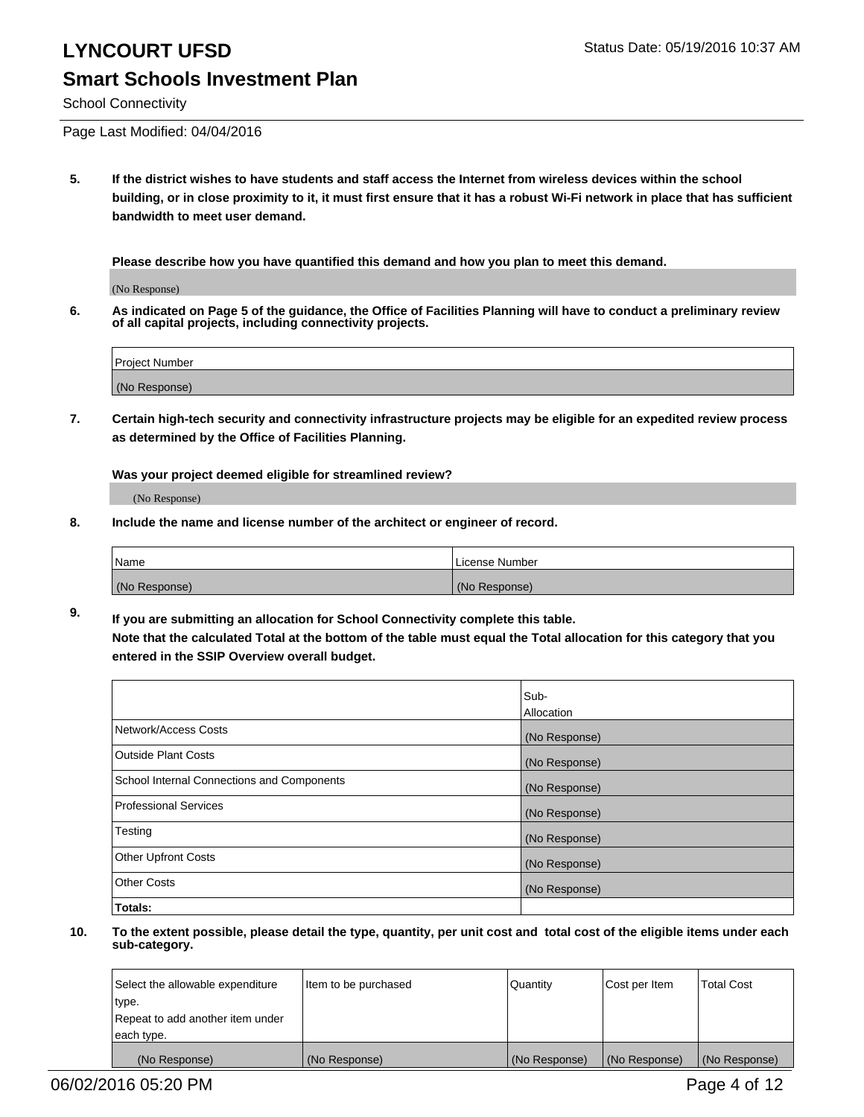School Connectivity

Page Last Modified: 04/04/2016

**5. If the district wishes to have students and staff access the Internet from wireless devices within the school building, or in close proximity to it, it must first ensure that it has a robust Wi-Fi network in place that has sufficient bandwidth to meet user demand.**

**Please describe how you have quantified this demand and how you plan to meet this demand.**

(No Response)

**6. As indicated on Page 5 of the guidance, the Office of Facilities Planning will have to conduct a preliminary review of all capital projects, including connectivity projects.**

| <b>Project Number</b> |  |
|-----------------------|--|
| (No Response)         |  |

**7. Certain high-tech security and connectivity infrastructure projects may be eligible for an expedited review process as determined by the Office of Facilities Planning.**

**Was your project deemed eligible for streamlined review?**

(No Response)

**8. Include the name and license number of the architect or engineer of record.**

| <b>Name</b>   | License Number |
|---------------|----------------|
| (No Response) | (No Response)  |

**9. If you are submitting an allocation for School Connectivity complete this table. Note that the calculated Total at the bottom of the table must equal the Total allocation for this category that you entered in the SSIP Overview overall budget.** 

|                                            | Sub-          |
|--------------------------------------------|---------------|
|                                            | Allocation    |
| Network/Access Costs                       | (No Response) |
| <b>Outside Plant Costs</b>                 | (No Response) |
| School Internal Connections and Components | (No Response) |
| Professional Services                      | (No Response) |
| Testing                                    | (No Response) |
| <b>Other Upfront Costs</b>                 | (No Response) |
| <b>Other Costs</b>                         | (No Response) |
| Totals:                                    |               |

| Select the allowable expenditure | Item to be purchased | Quantity      | Cost per Item | <b>Total Cost</b> |
|----------------------------------|----------------------|---------------|---------------|-------------------|
| type.                            |                      |               |               |                   |
| Repeat to add another item under |                      |               |               |                   |
| each type.                       |                      |               |               |                   |
| (No Response)                    | (No Response)        | (No Response) | (No Response) | (No Response)     |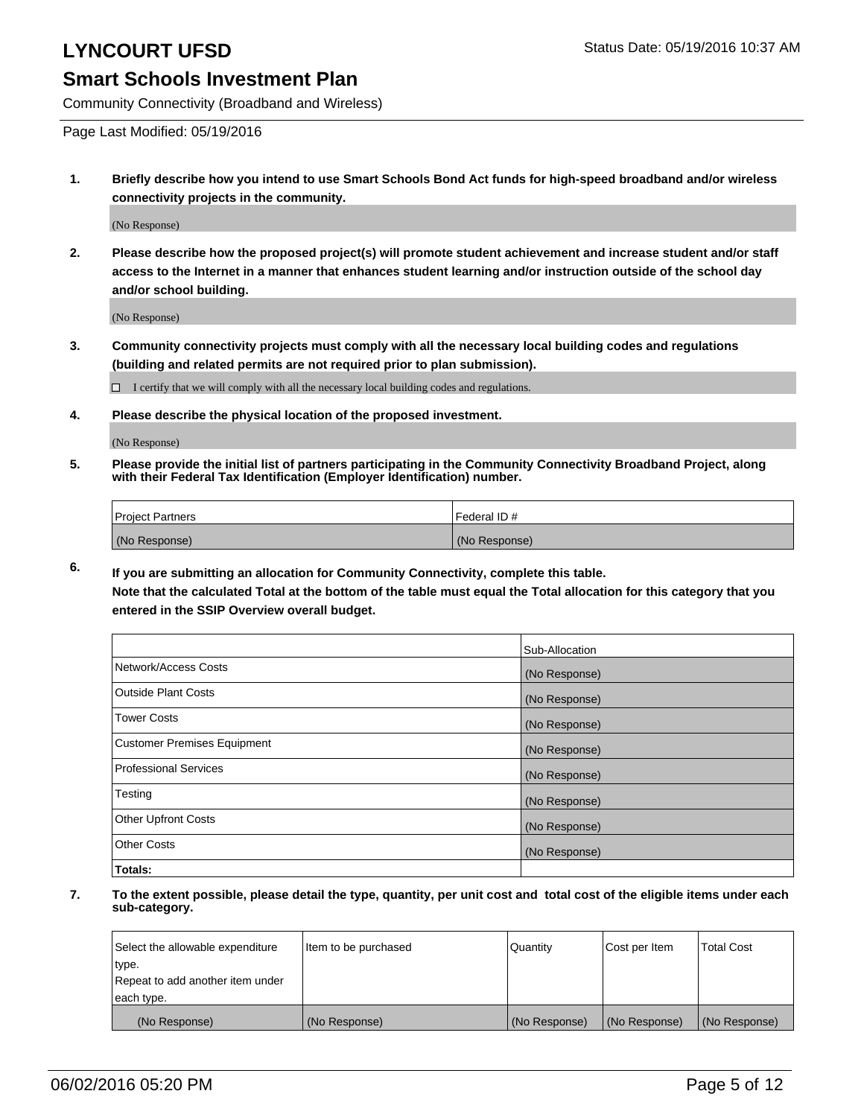Community Connectivity (Broadband and Wireless)

Page Last Modified: 05/19/2016

**1. Briefly describe how you intend to use Smart Schools Bond Act funds for high-speed broadband and/or wireless connectivity projects in the community.**

(No Response)

**2. Please describe how the proposed project(s) will promote student achievement and increase student and/or staff access to the Internet in a manner that enhances student learning and/or instruction outside of the school day and/or school building.**

(No Response)

**3. Community connectivity projects must comply with all the necessary local building codes and regulations (building and related permits are not required prior to plan submission).**

 $\Box$  I certify that we will comply with all the necessary local building codes and regulations.

**4. Please describe the physical location of the proposed investment.**

(No Response)

**5. Please provide the initial list of partners participating in the Community Connectivity Broadband Project, along with their Federal Tax Identification (Employer Identification) number.**

| Project Partners | I Federal ID # |
|------------------|----------------|
| (No Response)    | (No Response)  |

**6. If you are submitting an allocation for Community Connectivity, complete this table.**

**Note that the calculated Total at the bottom of the table must equal the Total allocation for this category that you entered in the SSIP Overview overall budget.**

|                             | Sub-Allocation |
|-----------------------------|----------------|
| Network/Access Costs        | (No Response)  |
| Outside Plant Costs         | (No Response)  |
| <b>Tower Costs</b>          | (No Response)  |
| Customer Premises Equipment | (No Response)  |
| Professional Services       | (No Response)  |
| Testing                     | (No Response)  |
| Other Upfront Costs         | (No Response)  |
| Other Costs                 | (No Response)  |
| Totals:                     |                |

| Select the allowable expenditure | Item to be purchased | Quantity      | Cost per Item | <b>Total Cost</b> |
|----------------------------------|----------------------|---------------|---------------|-------------------|
| type.                            |                      |               |               |                   |
| Repeat to add another item under |                      |               |               |                   |
| each type.                       |                      |               |               |                   |
| (No Response)                    | (No Response)        | (No Response) | (No Response) | (No Response)     |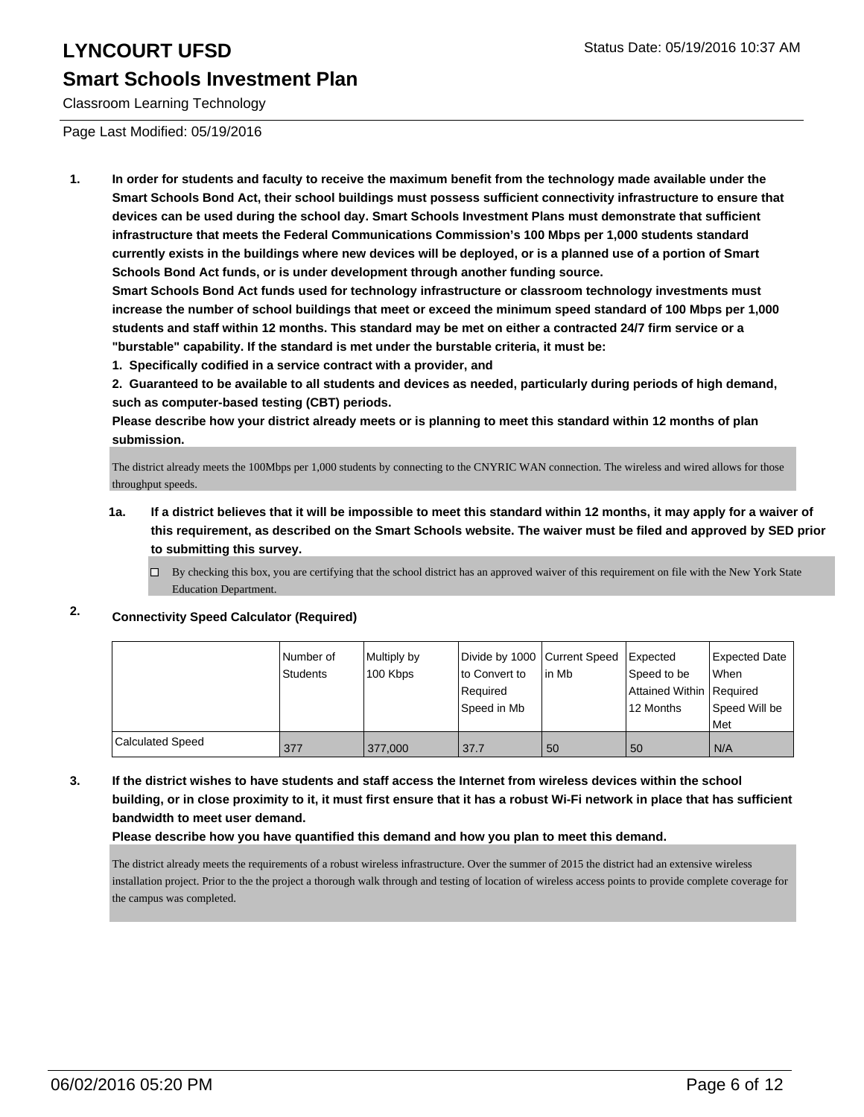## LYNCOURT UFSD<br>
LYNCOURT UFSD **Smart Schools Investment Plan**

#### Classroom Learning Technology

Page Last Modified: 05/19/2016

**1. In order for students and faculty to receive the maximum benefit from the technology made available under the Smart Schools Bond Act, their school buildings must possess sufficient connectivity infrastructure to ensure that devices can be used during the school day. Smart Schools Investment Plans must demonstrate that sufficient infrastructure that meets the Federal Communications Commission's 100 Mbps per 1,000 students standard currently exists in the buildings where new devices will be deployed, or is a planned use of a portion of Smart Schools Bond Act funds, or is under development through another funding source.**

**Smart Schools Bond Act funds used for technology infrastructure or classroom technology investments must increase the number of school buildings that meet or exceed the minimum speed standard of 100 Mbps per 1,000 students and staff within 12 months. This standard may be met on either a contracted 24/7 firm service or a "burstable" capability. If the standard is met under the burstable criteria, it must be:**

**1. Specifically codified in a service contract with a provider, and**

**2. Guaranteed to be available to all students and devices as needed, particularly during periods of high demand, such as computer-based testing (CBT) periods.**

**Please describe how your district already meets or is planning to meet this standard within 12 months of plan submission.**

The district already meets the 100Mbps per 1,000 students by connecting to the CNYRIC WAN connection. The wireless and wired allows for those throughput speeds.

- **1a. If a district believes that it will be impossible to meet this standard within 12 months, it may apply for a waiver of this requirement, as described on the Smart Schools website. The waiver must be filed and approved by SED prior to submitting this survey.**
	- $\Box$  By checking this box, you are certifying that the school district has an approved waiver of this requirement on file with the New York State Education Department.

#### **2. Connectivity Speed Calculator (Required)**

|                         | Number of<br>Students | Multiply by<br>100 Kbps | Divide by 1000 Current Speed<br>lto Convert to<br>Required<br>Speed in Mb | l in Mb | Expected<br>Speed to be<br>Attained Within   Required<br>12 Months | <b>Expected Date</b><br><b>When</b><br>Speed Will be<br>l Met |
|-------------------------|-----------------------|-------------------------|---------------------------------------------------------------------------|---------|--------------------------------------------------------------------|---------------------------------------------------------------|
|                         |                       |                         |                                                                           |         |                                                                    |                                                               |
| <b>Calculated Speed</b> | 377                   | 377,000                 | 37.7                                                                      | 50      | 50                                                                 | N/A                                                           |

**3. If the district wishes to have students and staff access the Internet from wireless devices within the school building, or in close proximity to it, it must first ensure that it has a robust Wi-Fi network in place that has sufficient bandwidth to meet user demand.**

**Please describe how you have quantified this demand and how you plan to meet this demand.**

The district already meets the requirements of a robust wireless infrastructure. Over the summer of 2015 the district had an extensive wireless installation project. Prior to the the project a thorough walk through and testing of location of wireless access points to provide complete coverage for the campus was completed.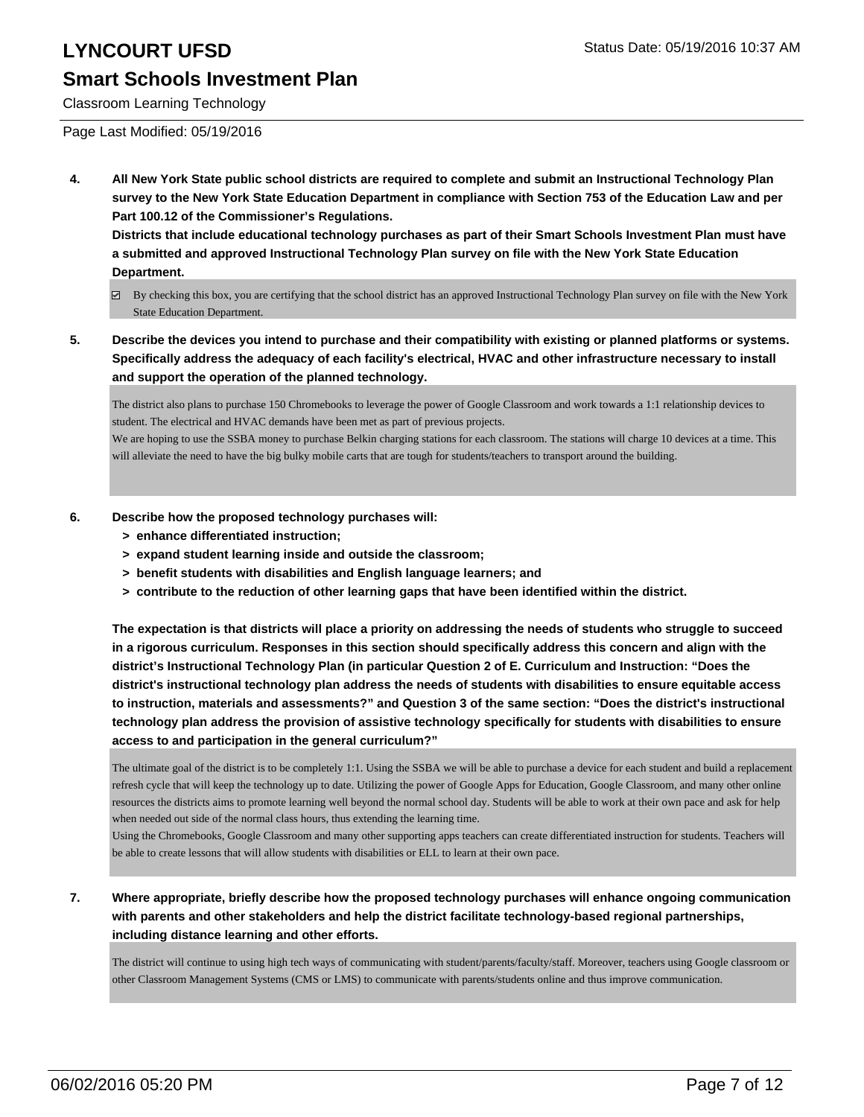## LYNCOURT UFSD<br>
LYNCOURT UFSD

### **Smart Schools Investment Plan**

Classroom Learning Technology

Page Last Modified: 05/19/2016

**4. All New York State public school districts are required to complete and submit an Instructional Technology Plan survey to the New York State Education Department in compliance with Section 753 of the Education Law and per Part 100.12 of the Commissioner's Regulations.**

**Districts that include educational technology purchases as part of their Smart Schools Investment Plan must have a submitted and approved Instructional Technology Plan survey on file with the New York State Education Department.**

- By checking this box, you are certifying that the school district has an approved Instructional Technology Plan survey on file with the New York State Education Department.
- **5. Describe the devices you intend to purchase and their compatibility with existing or planned platforms or systems. Specifically address the adequacy of each facility's electrical, HVAC and other infrastructure necessary to install and support the operation of the planned technology.**

The district also plans to purchase 150 Chromebooks to leverage the power of Google Classroom and work towards a 1:1 relationship devices to student. The electrical and HVAC demands have been met as part of previous projects.

We are hoping to use the SSBA money to purchase Belkin charging stations for each classroom. The stations will charge 10 devices at a time. This will alleviate the need to have the big bulky mobile carts that are tough for students/teachers to transport around the building.

- **6. Describe how the proposed technology purchases will:**
	- **> enhance differentiated instruction;**
	- **> expand student learning inside and outside the classroom;**
	- **> benefit students with disabilities and English language learners; and**
	- **> contribute to the reduction of other learning gaps that have been identified within the district.**

**The expectation is that districts will place a priority on addressing the needs of students who struggle to succeed in a rigorous curriculum. Responses in this section should specifically address this concern and align with the district's Instructional Technology Plan (in particular Question 2 of E. Curriculum and Instruction: "Does the district's instructional technology plan address the needs of students with disabilities to ensure equitable access to instruction, materials and assessments?" and Question 3 of the same section: "Does the district's instructional technology plan address the provision of assistive technology specifically for students with disabilities to ensure access to and participation in the general curriculum?"**

The ultimate goal of the district is to be completely 1:1. Using the SSBA we will be able to purchase a device for each student and build a replacement refresh cycle that will keep the technology up to date. Utilizing the power of Google Apps for Education, Google Classroom, and many other online resources the districts aims to promote learning well beyond the normal school day. Students will be able to work at their own pace and ask for help when needed out side of the normal class hours, thus extending the learning time.

Using the Chromebooks, Google Classroom and many other supporting apps teachers can create differentiated instruction for students. Teachers will be able to create lessons that will allow students with disabilities or ELL to learn at their own pace.

**7. Where appropriate, briefly describe how the proposed technology purchases will enhance ongoing communication with parents and other stakeholders and help the district facilitate technology-based regional partnerships, including distance learning and other efforts.**

The district will continue to using high tech ways of communicating with student/parents/faculty/staff. Moreover, teachers using Google classroom or other Classroom Management Systems (CMS or LMS) to communicate with parents/students online and thus improve communication.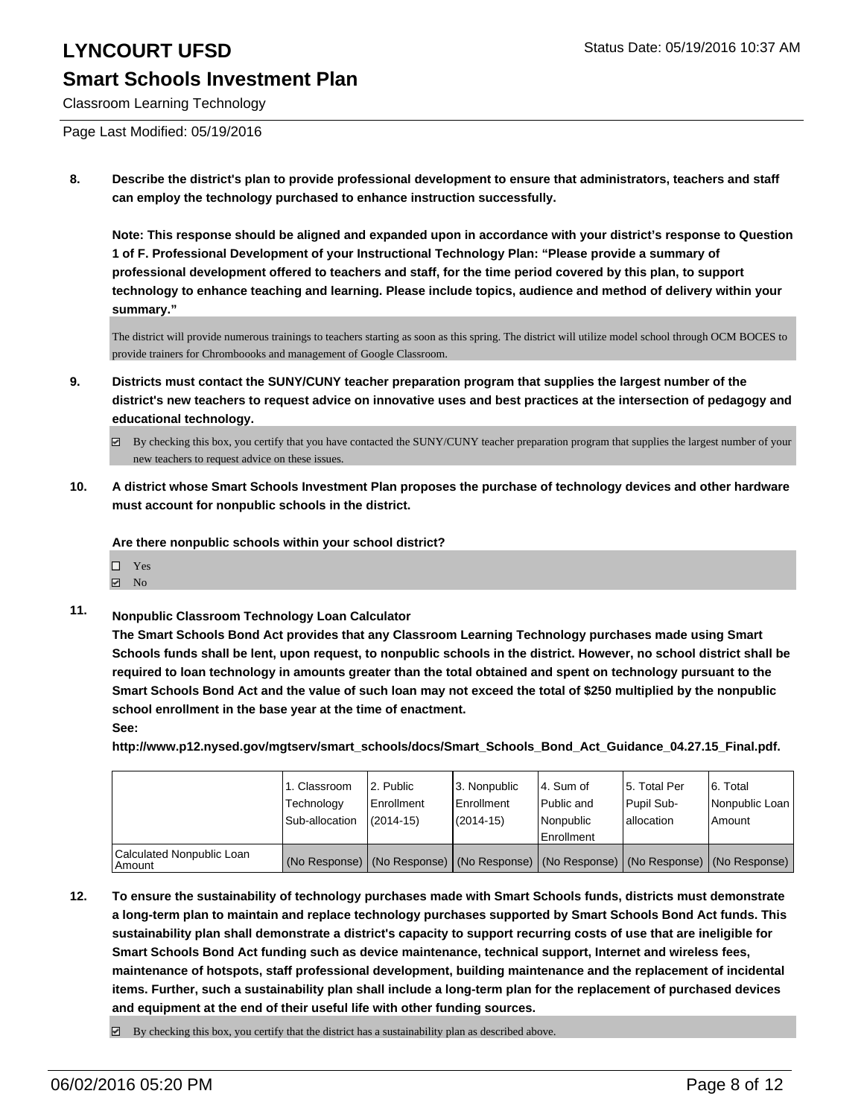Classroom Learning Technology

Page Last Modified: 05/19/2016

**8. Describe the district's plan to provide professional development to ensure that administrators, teachers and staff can employ the technology purchased to enhance instruction successfully.**

**Note: This response should be aligned and expanded upon in accordance with your district's response to Question 1 of F. Professional Development of your Instructional Technology Plan: "Please provide a summary of professional development offered to teachers and staff, for the time period covered by this plan, to support technology to enhance teaching and learning. Please include topics, audience and method of delivery within your summary."**

The district will provide numerous trainings to teachers starting as soon as this spring. The district will utilize model school through OCM BOCES to provide trainers for Chromboooks and management of Google Classroom.

- **9. Districts must contact the SUNY/CUNY teacher preparation program that supplies the largest number of the district's new teachers to request advice on innovative uses and best practices at the intersection of pedagogy and educational technology.**
	- By checking this box, you certify that you have contacted the SUNY/CUNY teacher preparation program that supplies the largest number of your new teachers to request advice on these issues.
- **10. A district whose Smart Schools Investment Plan proposes the purchase of technology devices and other hardware must account for nonpublic schools in the district.**

**Are there nonpublic schools within your school district?**

- $\Box$  Yes
- $\blacksquare$  No
- **11. Nonpublic Classroom Technology Loan Calculator**

**The Smart Schools Bond Act provides that any Classroom Learning Technology purchases made using Smart Schools funds shall be lent, upon request, to nonpublic schools in the district. However, no school district shall be required to loan technology in amounts greater than the total obtained and spent on technology pursuant to the Smart Schools Bond Act and the value of such loan may not exceed the total of \$250 multiplied by the nonpublic school enrollment in the base year at the time of enactment.**

**See:**

**http://www.p12.nysed.gov/mgtserv/smart\_schools/docs/Smart\_Schools\_Bond\_Act\_Guidance\_04.27.15\_Final.pdf.**

|                                       | 1. Classroom<br>Technology<br>Sub-allocation | 12. Public<br>Enrollment<br>$(2014-15)$ | 3. Nonpublic<br><b>Enrollment</b><br>$(2014-15)$ | 4. Sum of<br>Public and<br>Nonpublic<br>Enrollment | 15. Total Per<br>Pupil Sub-<br>lallocation | 6. Total<br>Nonpublic Loan<br>Amount                                                          |
|---------------------------------------|----------------------------------------------|-----------------------------------------|--------------------------------------------------|----------------------------------------------------|--------------------------------------------|-----------------------------------------------------------------------------------------------|
| Calculated Nonpublic Loan<br>  Amount |                                              |                                         |                                                  |                                                    |                                            | (No Response)   (No Response)   (No Response)   (No Response)   (No Response)   (No Response) |

- **12. To ensure the sustainability of technology purchases made with Smart Schools funds, districts must demonstrate a long-term plan to maintain and replace technology purchases supported by Smart Schools Bond Act funds. This sustainability plan shall demonstrate a district's capacity to support recurring costs of use that are ineligible for Smart Schools Bond Act funding such as device maintenance, technical support, Internet and wireless fees, maintenance of hotspots, staff professional development, building maintenance and the replacement of incidental items. Further, such a sustainability plan shall include a long-term plan for the replacement of purchased devices and equipment at the end of their useful life with other funding sources.**
	- $\boxtimes$  By checking this box, you certify that the district has a sustainability plan as described above.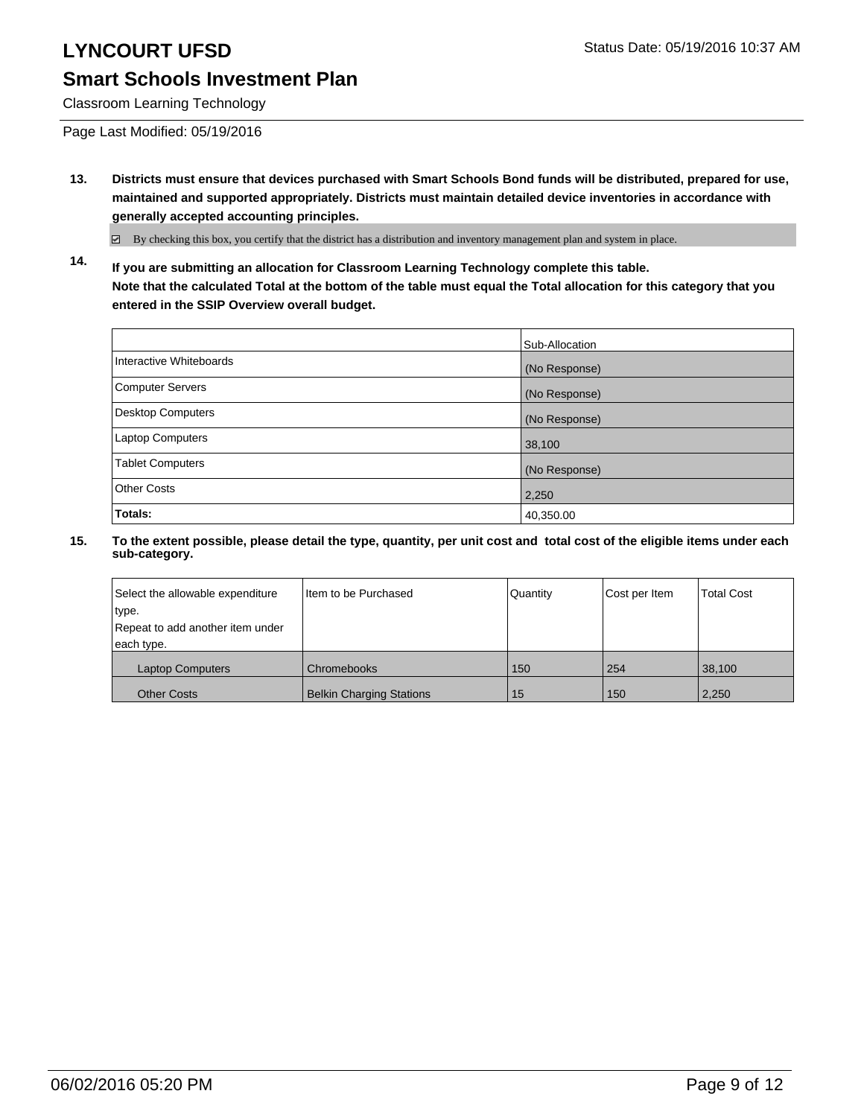Classroom Learning Technology

Page Last Modified: 05/19/2016

**13. Districts must ensure that devices purchased with Smart Schools Bond funds will be distributed, prepared for use, maintained and supported appropriately. Districts must maintain detailed device inventories in accordance with generally accepted accounting principles.**

By checking this box, you certify that the district has a distribution and inventory management plan and system in place.

**14. If you are submitting an allocation for Classroom Learning Technology complete this table. Note that the calculated Total at the bottom of the table must equal the Total allocation for this category that you entered in the SSIP Overview overall budget.**

|                          | Sub-Allocation |
|--------------------------|----------------|
| Interactive Whiteboards  | (No Response)  |
| <b>Computer Servers</b>  | (No Response)  |
| <b>Desktop Computers</b> | (No Response)  |
| Laptop Computers         | 38,100         |
| <b>Tablet Computers</b>  | (No Response)  |
| <b>Other Costs</b>       | 2,250          |
| Totals:                  | 40,350.00      |

| Select the allowable expenditure | Iltem to be Purchased           | Quantity | Cost per Item | <b>Total Cost</b> |
|----------------------------------|---------------------------------|----------|---------------|-------------------|
| type.                            |                                 |          |               |                   |
| Repeat to add another item under |                                 |          |               |                   |
| each type.                       |                                 |          |               |                   |
| <b>Laptop Computers</b>          | Chromebooks                     | 150      | 254           | 38.100            |
| <b>Other Costs</b>               | <b>Belkin Charging Stations</b> | 15       | 150           | 2,250             |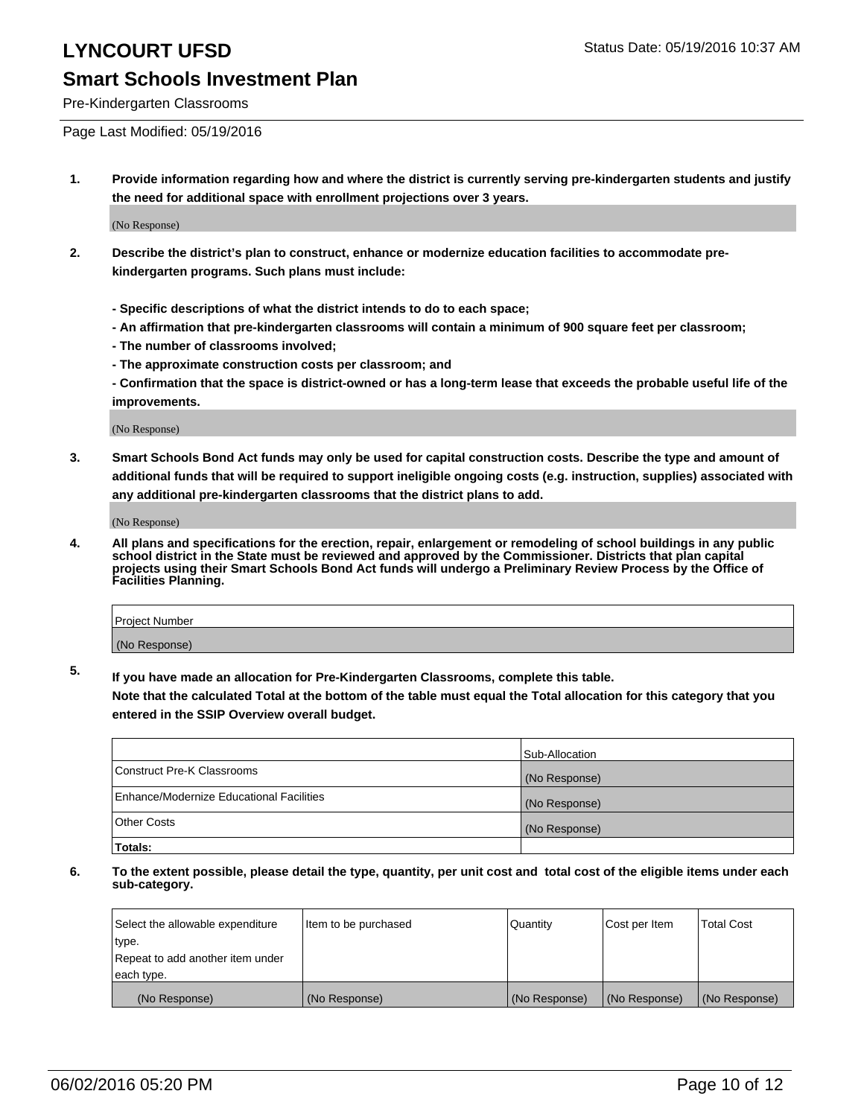Pre-Kindergarten Classrooms

Page Last Modified: 05/19/2016

**1. Provide information regarding how and where the district is currently serving pre-kindergarten students and justify the need for additional space with enrollment projections over 3 years.**

(No Response)

- **2. Describe the district's plan to construct, enhance or modernize education facilities to accommodate prekindergarten programs. Such plans must include:**
	- **Specific descriptions of what the district intends to do to each space;**
	- **An affirmation that pre-kindergarten classrooms will contain a minimum of 900 square feet per classroom;**
	- **The number of classrooms involved;**
	- **The approximate construction costs per classroom; and**
	- **Confirmation that the space is district-owned or has a long-term lease that exceeds the probable useful life of the improvements.**

(No Response)

**3. Smart Schools Bond Act funds may only be used for capital construction costs. Describe the type and amount of additional funds that will be required to support ineligible ongoing costs (e.g. instruction, supplies) associated with any additional pre-kindergarten classrooms that the district plans to add.**

(No Response)

**4. All plans and specifications for the erection, repair, enlargement or remodeling of school buildings in any public school district in the State must be reviewed and approved by the Commissioner. Districts that plan capital projects using their Smart Schools Bond Act funds will undergo a Preliminary Review Process by the Office of Facilities Planning.**

| <b>Project Number</b> |  |
|-----------------------|--|
| (No Response)         |  |

**5. If you have made an allocation for Pre-Kindergarten Classrooms, complete this table.**

**Note that the calculated Total at the bottom of the table must equal the Total allocation for this category that you entered in the SSIP Overview overall budget.**

|                                          | Sub-Allocation |
|------------------------------------------|----------------|
| Construct Pre-K Classrooms               | (No Response)  |
| Enhance/Modernize Educational Facilities | (No Response)  |
| Other Costs                              | (No Response)  |
| Totals:                                  |                |

| Select the allowable expenditure | Item to be purchased | Quantity      | Cost per Item | <b>Total Cost</b> |
|----------------------------------|----------------------|---------------|---------------|-------------------|
| type.                            |                      |               |               |                   |
| Repeat to add another item under |                      |               |               |                   |
| each type.                       |                      |               |               |                   |
| (No Response)                    | (No Response)        | (No Response) | (No Response) | (No Response)     |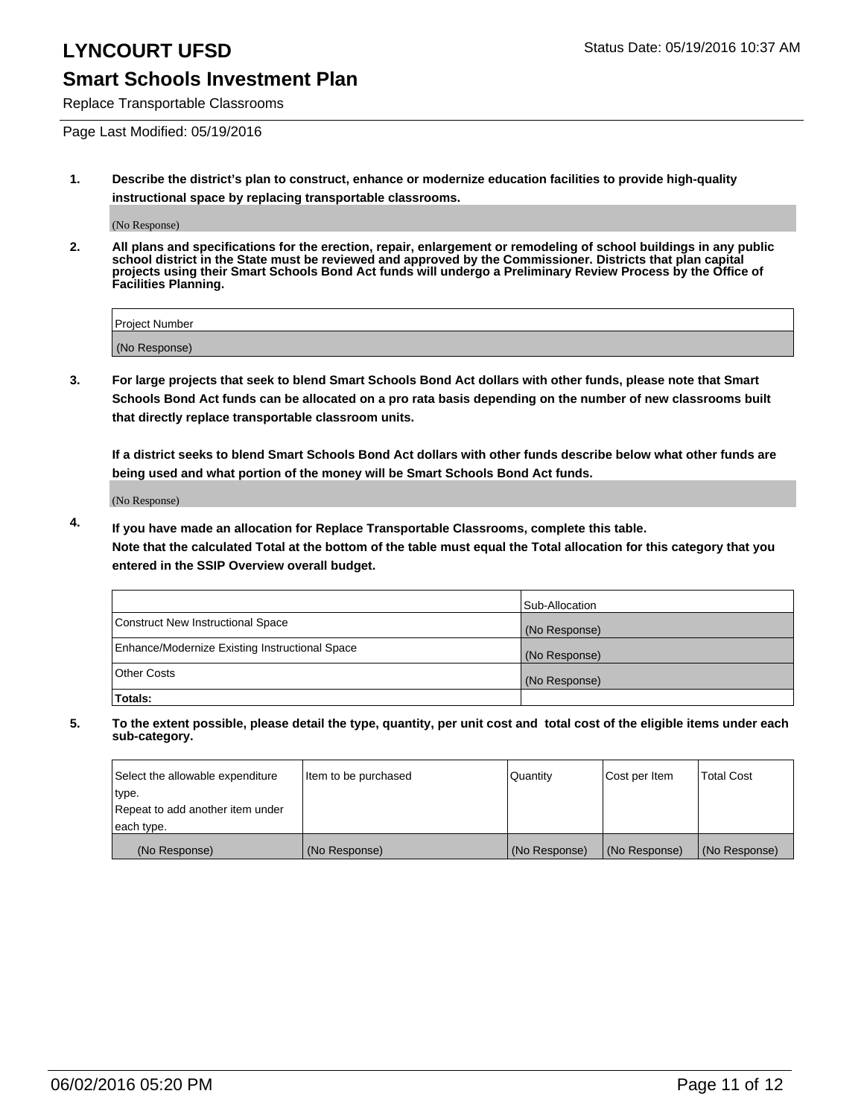## **LYNCOURT UFSD** Status Date: 05/19/2016 10:37 AM

### **Smart Schools Investment Plan**

Replace Transportable Classrooms

Page Last Modified: 05/19/2016

**1. Describe the district's plan to construct, enhance or modernize education facilities to provide high-quality instructional space by replacing transportable classrooms.**

(No Response)

**2. All plans and specifications for the erection, repair, enlargement or remodeling of school buildings in any public school district in the State must be reviewed and approved by the Commissioner. Districts that plan capital projects using their Smart Schools Bond Act funds will undergo a Preliminary Review Process by the Office of Facilities Planning.**

| <b>Project Number</b> |  |
|-----------------------|--|
| (No Response)         |  |

**3. For large projects that seek to blend Smart Schools Bond Act dollars with other funds, please note that Smart Schools Bond Act funds can be allocated on a pro rata basis depending on the number of new classrooms built that directly replace transportable classroom units.**

**If a district seeks to blend Smart Schools Bond Act dollars with other funds describe below what other funds are being used and what portion of the money will be Smart Schools Bond Act funds.**

(No Response)

**4. If you have made an allocation for Replace Transportable Classrooms, complete this table. Note that the calculated Total at the bottom of the table must equal the Total allocation for this category that you entered in the SSIP Overview overall budget.**

|                                                | Sub-Allocation |
|------------------------------------------------|----------------|
| Construct New Instructional Space              | (No Response)  |
| Enhance/Modernize Existing Instructional Space | (No Response)  |
| <b>Other Costs</b>                             | (No Response)  |
| Totals:                                        |                |

| Select the allowable expenditure | Item to be purchased | <b>Quantity</b> | Cost per Item | <b>Total Cost</b> |
|----------------------------------|----------------------|-----------------|---------------|-------------------|
| type.                            |                      |                 |               |                   |
| Repeat to add another item under |                      |                 |               |                   |
| each type.                       |                      |                 |               |                   |
| (No Response)                    | (No Response)        | (No Response)   | (No Response) | (No Response)     |